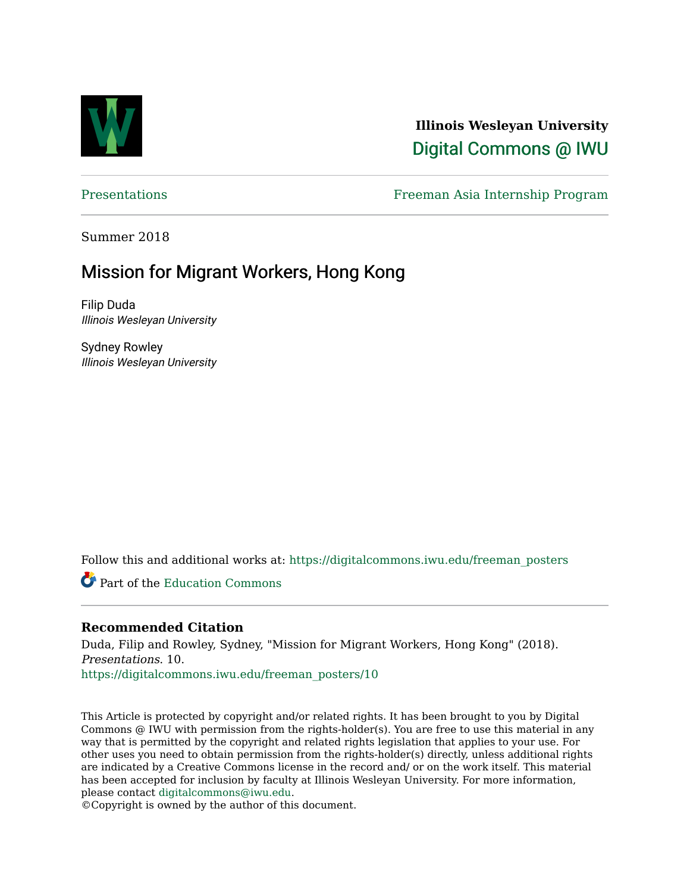

**Illinois Wesleyan University**  [Digital Commons @ IWU](https://digitalcommons.iwu.edu/) 

[Presentations](https://digitalcommons.iwu.edu/freeman_posters) Freeman Asia Internship Program

Summer 2018

#### Mission for Migrant Workers, Hong Kong

Filip Duda Illinois Wesleyan University

Sydney Rowley Illinois Wesleyan University

Follow this and additional works at: [https://digitalcommons.iwu.edu/freeman\\_posters](https://digitalcommons.iwu.edu/freeman_posters?utm_source=digitalcommons.iwu.edu%2Ffreeman_posters%2F10&utm_medium=PDF&utm_campaign=PDFCoverPages) 

Part of the [Education Commons](http://network.bepress.com/hgg/discipline/784?utm_source=digitalcommons.iwu.edu%2Ffreeman_posters%2F10&utm_medium=PDF&utm_campaign=PDFCoverPages)

#### **Recommended Citation**

Duda, Filip and Rowley, Sydney, "Mission for Migrant Workers, Hong Kong" (2018). Presentations. 10.

[https://digitalcommons.iwu.edu/freeman\\_posters/10](https://digitalcommons.iwu.edu/freeman_posters/10?utm_source=digitalcommons.iwu.edu%2Ffreeman_posters%2F10&utm_medium=PDF&utm_campaign=PDFCoverPages) 

This Article is protected by copyright and/or related rights. It has been brought to you by Digital Commons @ IWU with permission from the rights-holder(s). You are free to use this material in any way that is permitted by the copyright and related rights legislation that applies to your use. For other uses you need to obtain permission from the rights-holder(s) directly, unless additional rights are indicated by a Creative Commons license in the record and/ or on the work itself. This material has been accepted for inclusion by faculty at Illinois Wesleyan University. For more information, please contact [digitalcommons@iwu.edu.](mailto:digitalcommons@iwu.edu)

©Copyright is owned by the author of this document.